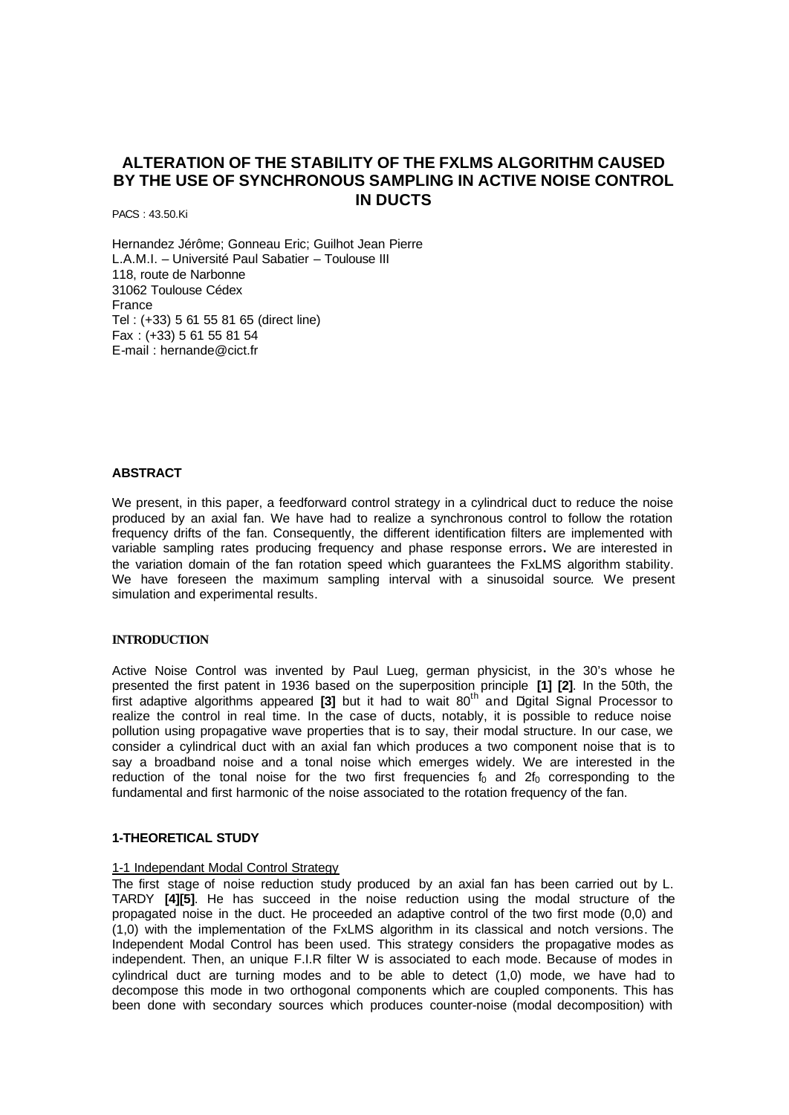# **ALTERATION OF THE STABILITY OF THE FXLMS ALGORITHM CAUSED BY THE USE OF SYNCHRONOUS SAMPLING IN ACTIVE NOISE CONTROL IN DUCTS**

PACS : 43.50.Ki

Hernandez Jérôme; Gonneau Eric; Guilhot Jean Pierre L.A.M.I. – Université Paul Sabatier – Toulouse III 118, route de Narbonne 31062 Toulouse Cédex France Tel : (+33) 5 61 55 81 65 (direct line) Fax : (+33) 5 61 55 81 54 E-mail : hernande@cict.fr

## **ABSTRACT**

We present, in this paper, a feedforward control strategy in a cylindrical duct to reduce the noise produced by an axial fan. We have had to realize a synchronous control to follow the rotation frequency drifts of the fan. Consequently, the different identification filters are implemented with variable sampling rates producing frequency and phase response errors**.** We are interested in the variation domain of the fan rotation speed which guarantees the FxLMS algorithm stability. We have foreseen the maximum sampling interval with a sinusoidal source. We present simulation and experimental results.

### **INTRODUCTION**

Active Noise Control was invented by Paul Lueg, german physicist, in the 30's whose he presented the first patent in 1936 based on the superposition principle **[1] [2]**. In the 50th, the first adaptive algorithms appeared [3] but it had to wait 80<sup>th</sup> and Digital Signal Processor to realize the control in real time. In the case of ducts, notably, it is possible to reduce noise pollution using propagative wave properties that is to say, their modal structure. In our case, we consider a cylindrical duct with an axial fan which produces a two component noise that is to say a broadband noise and a tonal noise which emerges widely. We are interested in the reduction of the tonal noise for the two first frequencies  $f_0$  and  $2f_0$  corresponding to the fundamental and first harmonic of the noise associated to the rotation frequency of the fan.

### **1-THEORETICAL STUDY**

#### 1-1 Independant Modal Control Strategy

The first stage of noise reduction study produced by an axial fan has been carried out by L. TARDY **[4][5]**. He has succeed in the noise reduction using the modal structure of the propagated noise in the duct. He proceeded an adaptive control of the two first mode (0,0) and (1,0) with the implementation of the FxLMS algorithm in its classical and notch versions. The Independent Modal Control has been used. This strategy considers the propagative modes as independent. Then, an unique F.I.R filter W is associated to each mode. Because of modes in cylindrical duct are turning modes and to be able to detect (1,0) mode, we have had to decompose this mode in two orthogonal components which are coupled components. This has been done with secondary sources which produces counter-noise (modal decomposition) with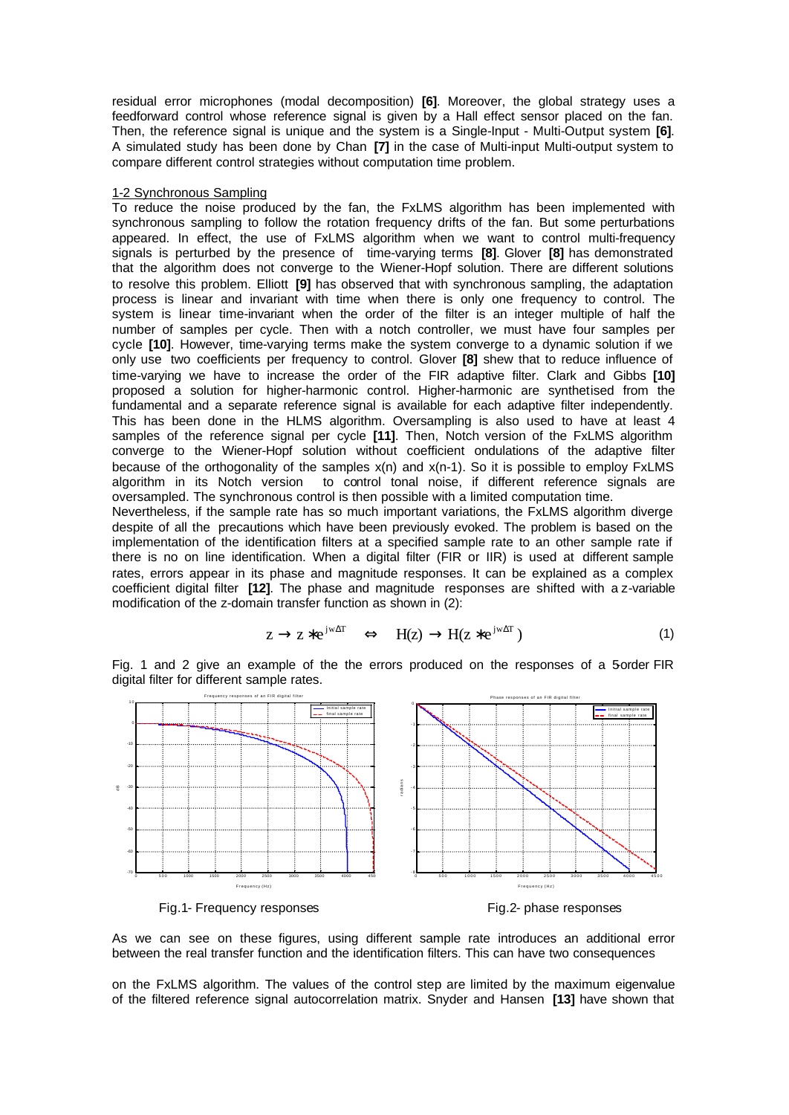residual error microphones (modal decomposition) **[6]**. Moreover, the global strategy uses a feedforward control whose reference signal is given by a Hall effect sensor placed on the fan. Then, the reference signal is unique and the system is a Single-Input - Multi-Output system **[6]**. A simulated study has been done by Chan **[7]** in the case of Multi-input Multi-output system to compare different control strategies without computation time problem.

### 1-2 Synchronous Sampling

To reduce the noise produced by the fan, the FxLMS algorithm has been implemented with synchronous sampling to follow the rotation frequency drifts of the fan. But some perturbations appeared. In effect, the use of FxLMS algorithm when we want to control multi-frequency signals is perturbed by the presence of time-varying terms **[8]**. Glover **[8]** has demonstrated that the algorithm does not converge to the Wiener-Hopf solution. There are different solutions to resolve this problem. Elliott **[9]** has observed that with synchronous sampling, the adaptation process is linear and invariant with time when there is only one frequency to control. The system is linear time-invariant when the order of the filter is an integer multiple of half the number of samples per cycle. Then with a notch controller, we must have four samples per cycle **[10]**. However, time-varying terms make the system converge to a dynamic solution if we only use two coefficients per frequency to control. Glover **[8]** shew that to reduce influence of time-varying we have to increase the order of the FIR adaptive filter. Clark and Gibbs **[10]**  proposed a solution for higher-harmonic control. Higher-harmonic are synthetised from the fundamental and a separate reference signal is available for each adaptive filter independently. This has been done in the HLMS algorithm. Oversampling is also used to have at least 4 samples of the reference signal per cycle **[11]**. Then, Notch version of the FxLMS algorithm converge to the Wiener-Hopf solution without coefficient ondulations of the adaptive filter because of the orthogonality of the samples  $x(n)$  and  $x(n-1)$ . So it is possible to employ FxLMS algorithm in its Notch version to control tonal noise, if different reference signals are oversampled. The synchronous control is then possible with a limited computation time.

Nevertheless, if the sample rate has so much important variations, the FxLMS algorithm diverge despite of all the precautions which have been previously evoked. The problem is based on the implementation of the identification filters at a specified sample rate to an other sample rate if there is no on line identification. When a digital filter (FIR or IIR) is used at different sample rates, errors appear in its phase and magnitude responses. It can be explained as a complex coefficient digital filter **[12]**. The phase and magnitude responses are shifted with a z-variable modification of the z-domain transfer function as shown in (2):

$$
z \to z^* e^{jw\Delta T} \quad \Leftrightarrow \quad H(z) \to H(z^* e^{jw\Delta T}) \tag{1}
$$

Fig. 1 and 2 give an example of the the errors produced on the responses of a 5-order FIR digital filter for different sample rates.



As we can see on these figures, using different sample rate introduces an additional error between the real transfer function and the identification filters. This can have two consequences

on the FxLMS algorithm. The values of the control step are limited by the maximum eigenvalue of the filtered reference signal autocorrelation matrix. Snyder and Hansen **[13]** have shown that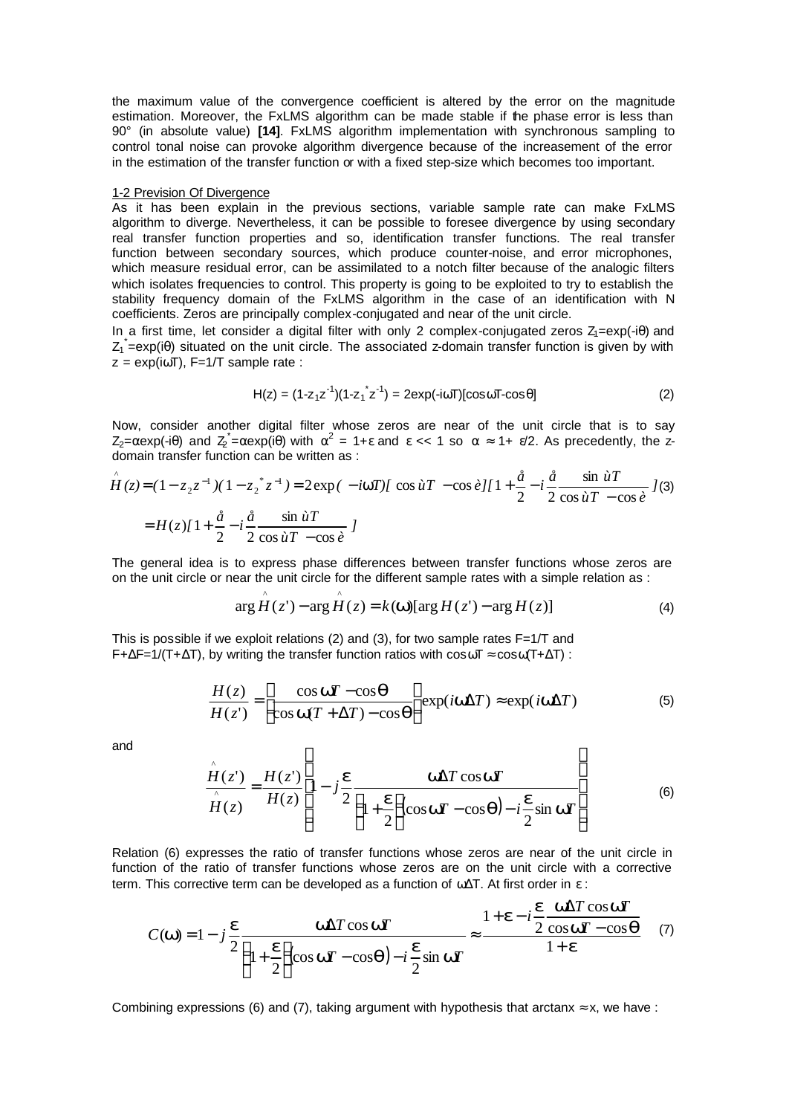the maximum value of the convergence coefficient is altered by the error on the magnitude estimation. Moreover, the FxLMS algorithm can be made stable if the phase error is less than 90° (in absolute value) **[14]**. FxLMS algorithm implementation with synchronous sampling to control tonal noise can provoke algorithm divergence because of the increasement of the error in the estimation of the transfer function or with a fixed step-size which becomes too important.

#### 1-2 Prevision Of Divergence

As it has been explain in the previous sections, variable sample rate can make FxLMS algorithm to diverge. Nevertheless, it can be possible to foresee divergence by using secondary real transfer function properties and so, identification transfer functions. The real transfer function between secondary sources, which produce counter-noise, and error microphones, which measure residual error, can be assimilated to a notch filter because of the analogic filters which isolates frequencies to control. This property is going to be exploited to try to establish the stability frequency domain of the FxLMS algorithm in the case of an identification with N coefficients. Zeros are principally complex-conjugated and near of the unit circle.

In a first time, let consider a digital filter with only 2 complex-conjugated zeros  $Z_1 = exp(-i\theta)$  and  $Z_1$  =exp(i $\theta$ ) situated on the unit circle. The associated z-domain transfer function is given by with  $z = \exp(i\omega T)$ , F=1/T sample rate :

$$
H(z) = (1 - z_1 z^{-1})(1 - z_1 z^{-1}) = 2 \exp(-i\omega T)[\cos \omega T - \cos \theta]
$$
 (2)

Now, consider another digital filter whose zeros are near of the unit circle that is to say  $Z_2 = \alpha$ exp(-iθ) and  $Z_2 = \alpha$ exp(iθ) with  $\alpha^2 = 1 + \varepsilon$  and  $\varepsilon \ll 1$  so  $\alpha \approx 1 + \varepsilon/2$ . As precedently, the zdomain transfer function can be written as :

$$
\hat{H}(z) = (1 - z_2 z^{-1})(1 - z_2^* z^{-1}) = 2 \exp(-i\mathbf{w}T) [\cos \hat{u}T - \cos \hat{e}][1 + \frac{\hat{a}}{2} - i\frac{\hat{a}}{2} \frac{\sin \hat{u}T}{\cos \hat{u}T - \cos \hat{e}}]
$$
  
=  $H(z)[1 + \frac{\hat{a}}{2} - i\frac{\hat{a}}{2} \frac{\sin \hat{u}T}{\cos \hat{u}T - \cos \hat{e}}]$ 

The general idea is to express phase differences between transfer functions whose zeros are on the unit circle or near the unit circle for the different sample rates with a simple relation as :

$$
\arg H(z') - \arg H(z) = k(\mathbf{W})[\arg H(z') - \arg H(z)] \tag{4}
$$

This is possible if we exploit relations (2) and (3), for two sample rates  $F=1/T$  and  $F+\Delta F=1/(T+\Delta T)$ , by writing the transfer function ratios with  $\cos \omega T \approx \cos \omega (T+\Delta T)$ :

 $\wedge$   $\wedge$ 

$$
\frac{H(z)}{H(z')} = \left[\frac{\cos \mathbf{w} - \cos \mathbf{q}}{\cos \mathbf{w} + \Delta T - \cos \mathbf{q}}\right] \exp(i\mathbf{w}\Delta T) \approx \exp(i\mathbf{w}\Delta T)
$$
(5)

and

$$
\frac{\hat{H}(z^{\prime})}{\hat{H}(z)} = \frac{H(z^{\prime})}{H(z)} \left[ 1 - j \frac{\mathbf{e}}{2} \frac{\mathbf{W} \Delta T \cos \mathbf{W} T}{\left( 1 + \frac{\mathbf{e}}{2} \right) \cos \mathbf{W} T - \cos \mathbf{q} \right) - i \frac{\mathbf{e}}{2} \sin \mathbf{W} T} \right]
$$
(6)

Relation (6) expresses the ratio of transfer functions whose zeros are near of the unit circle in function of the ratio of transfer functions whose zeros are on the unit circle with a corrective term. This corrective term can be developed as a function of  $\omega\Delta T$ . At first order in  $\varepsilon$ :

$$
C(\mathbf{w}) = 1 - j\frac{\mathbf{e}}{2} \frac{\mathbf{w}\Delta T \cos \mathbf{w}T}{\left(1 + \frac{\mathbf{e}}{2}\right)\cos \mathbf{w}T - \cos \mathbf{q}\right) - i\frac{\mathbf{e}}{2}\sin \mathbf{w}T} \approx \frac{1 + \mathbf{e} - i\frac{\mathbf{e}}{2}\frac{\mathbf{w}\Delta T \cos \mathbf{w}T}{2\cos \mathbf{w}T - \cos \mathbf{q}} \quad (7)
$$

Combining expressions (6) and (7), taking argument with hypothesis that arctanx  $\approx$  x, we have :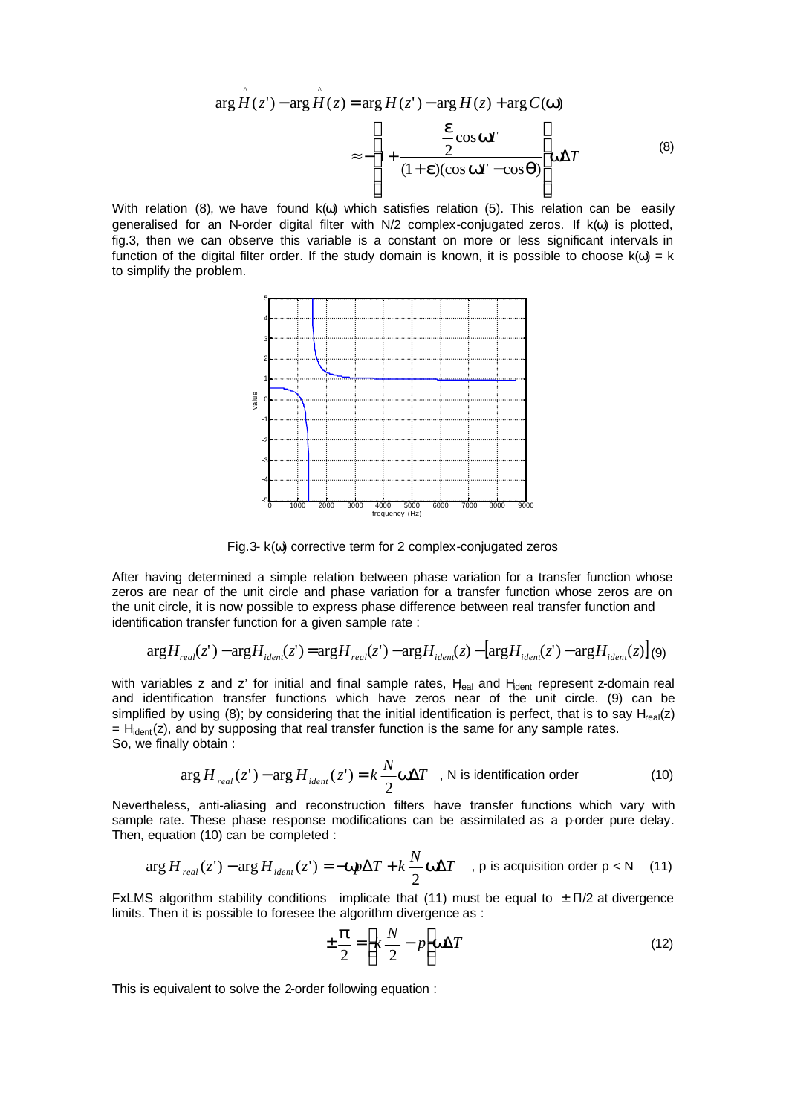$$
\arg \hat{H}(z') - \arg \hat{H}(z) = \arg H(z') - \arg H(z) + \arg C(\mathbf{W})
$$

$$
\approx -\left[1 + \frac{\frac{\mathbf{e}}{2}\cos \mathbf{W}}{(1 + \mathbf{e})(\cos \mathbf{W} - \cos \mathbf{q})}\right] \mathbf{W}\Delta T
$$
(8)

With relation (8), we have found  $k(\omega)$  which satisfies relation (5). This relation can be easily generalised for an N-order digital filter with N/2 complex-conjugated zeros. If k(ω) is plotted, fig.3, then we can observe this variable is a constant on more or less significant intervals in function of the digital filter order. If the study domain is known, it is possible to choose  $k(\omega) = k$ to simplify the problem.



Fig.3- k(ω) corrective term for 2 complex-conjugated zeros

After having determined a simple relation between phase variation for a transfer function whose zeros are near of the unit circle and phase variation for a transfer function whose zeros are on the unit circle, it is now possible to express phase difference between real transfer function and identification transfer function for a given sample rate :

$$
\arg H_{real}(z') - \arg H_{ident}(z') = \arg H_{real}(z') - \arg H_{ident}(z) - \left[\arg H_{ident}(z') - \arg H_{ident}(z)\right] \tag{9}
$$

with variables z and z' for initial and final sample rates,  $H_{\text{real}}$  and  $H_{\text{dent}}$  represent z-domain real and identification transfer functions which have zeros near of the unit circle. (9) can be simplified by using (8); by considering that the initial identification is perfect, that is to say  $H_{real}(z)$  $=$  H<sub>ident</sub>(z), and by supposing that real transfer function is the same for any sample rates. So, we finally obtain :

$$
\arg H_{real}(z') - \arg H_{ident}(z') = k \frac{N}{2} \mathbf{W} \Delta T \quad , \text{ N is identification order} \tag{10}
$$

Nevertheless, anti-aliasing and reconstruction filters have transfer functions which vary with sample rate. These phase response modifications can be assimilated as a p-order pure delay. Then, equation (10) can be completed :

$$
\arg H_{real}(z') - \arg H_{ident}(z') = -\text{Wp}\Delta T + k\frac{N}{2}\text{W}\Delta T \quad , \text{ p is acquisition order p} < N \quad (11)
$$

FxLMS algorithm stability conditions implicate that (11) must be equal to  $\pm$  Π/2 at divergence limits. Then it is possible to foresee the algorithm divergence as :

$$
\pm \frac{\mathbf{p}}{2} = \left[ k \frac{N}{2} - p \right] \mathbf{W} \Delta T \tag{12}
$$

This is equivalent to solve the 2-order following equation :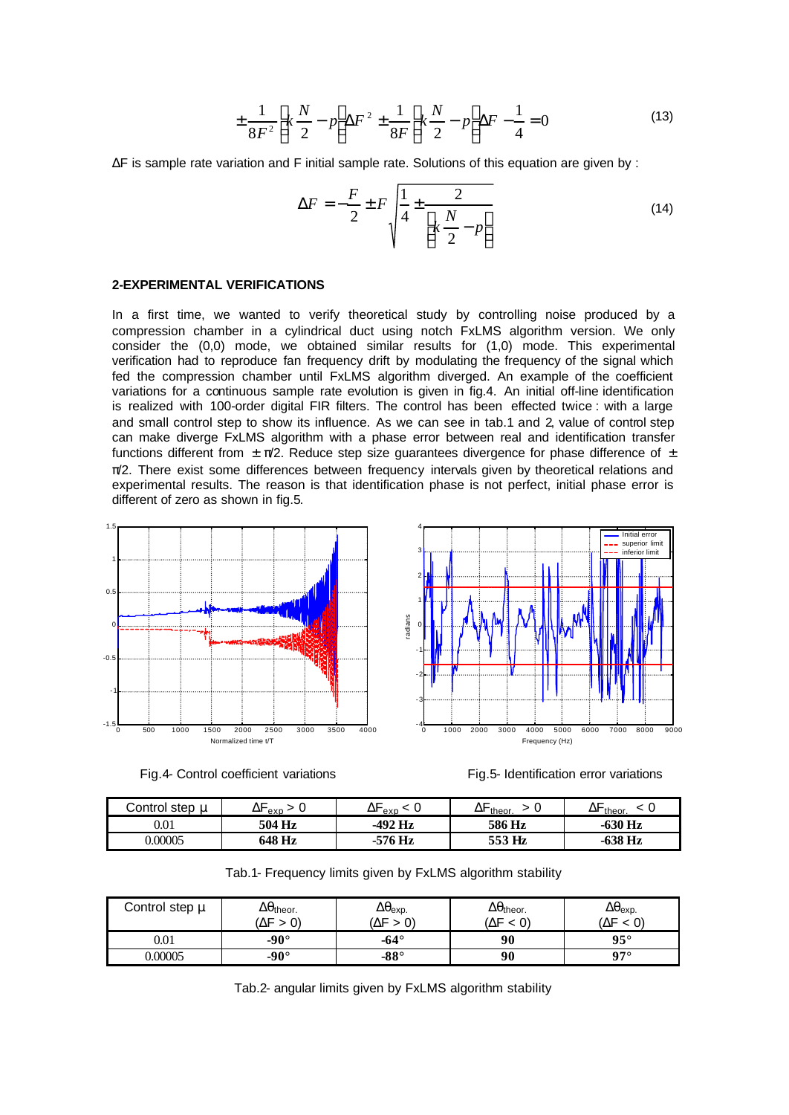$$
\pm \frac{1}{8F^2} \left[ k \frac{N}{2} - p \right] \Delta F^2 \pm \frac{1}{8F} \left[ k \frac{N}{2} - p \right] \Delta F - \frac{1}{4} = 0 \tag{13}
$$

ΔF is sample rate variation and F initial sample rate. Solutions of this equation are given by :

$$
\Delta F = -\frac{F}{2} \pm F \sqrt{\frac{1}{4} \pm \frac{2}{\left[k \frac{N}{2} - p\right]}}
$$
(14)

### **2-EXPERIMENTAL VERIFICATIONS**

In a first time, we wanted to verify theoretical study by controlling noise produced by a compression chamber in a cylindrical duct using notch FxLMS algorithm version. We only consider the (0,0) mode, we obtained similar results for (1,0) mode. This experimental verification had to reproduce fan frequency drift by modulating the frequency of the signal which fed the compression chamber until FxLMS algorithm diverged. An example of the coefficient variations for a continuous sample rate evolution is given in fig.4. An initial off-line identification is realized with 100-order digital FIR filters. The control has been effected twice : with a large and small control step to show its influence. As we can see in tab.1 and 2, value of control step can make diverge FxLMS algorithm with a phase error between real and identification transfer functions different from  $\pm \pi/2$ . Reduce step size quarantees divergence for phase difference of  $\pm$  $\pi/2$ . There exist some differences between frequency intervals given by theoretical relations and experimental results. The reason is that identification phase is not perfect, initial phase error is different of zero as shown in fig.5.



Fig.4- Control coefficient variations Fig.5- Identification error variations



| Control step $\mathfrak u$ | ∆ ехр  | $\Delta$<br>exp    | theor.<br>∆. | theor.    |
|----------------------------|--------|--------------------|--------------|-----------|
| $\rm 0.01$                 | 504 Hz | $-492$ Hz          | 586 Hz       | $-630$ Hz |
| 0.00005                    | 648 Hz | <sup>-7</sup> 6 Hz | 553 Hz       | $-638$ Hz |

|  |  |  |  |  |  | Tab.1- Frequency limits given by FxLMS algorithm stability |  |
|--|--|--|--|--|--|------------------------------------------------------------|--|
|--|--|--|--|--|--|------------------------------------------------------------|--|

| Control step μ | $\Delta \theta$ theor.<br>'ΔF<br>> 0 | $\Delta\theta_{\sf exp.}$<br>$\Delta F$ | $\Delta\theta_{\text{theor.}}$<br>ΔF<br>< 0' | $\Delta\theta_{\rm exp.}$<br>$\Delta F < 0$ |
|----------------|--------------------------------------|-----------------------------------------|----------------------------------------------|---------------------------------------------|
| $\rm 0.01$     | $-90^\circ$                          | -64 $^{\circ}$                          | 90                                           | $95^{\circ}$                                |
| 0.00005        | $-90^\circ$                          | $-88^\circ$                             | 90                                           | $07^\circ$                                  |

Tab.2- angular limits given by FxLMS algorithm stability